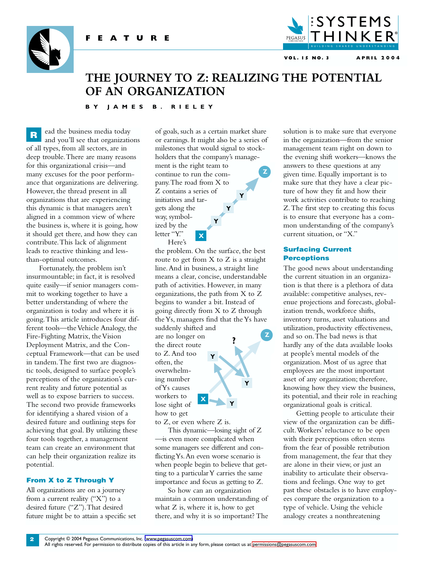



**VOL. 15 NO. 3 APRIL 2004**

# **THE JOURNEY TO Z: REALIZING THE POTENTIAL OF AN ORGANIZATION**

# **BY JAMES B. RIELEY**

ead the business media today and you'll see that organizations of all types, from all sectors, are in deep trouble.There are many reasons for this organizational crisis—and many excuses for the poor performance that organizations are delivering. However, the thread present in all organizations that are experiencing this dynamic is that managers aren't aligned in a common view of where the business is, where it is going, how it should get there, and how they can contribute.This lack of alignment leads to reactive thinking and lessthan-optimal outcomes. **R**

Fortunately, the problem isn't insurmountable; in fact, it is resolved quite easily—if senior managers commit to working together to have a better understanding of where the organization is today and where it is going.This article introduces four different tools—the Vehicle Analogy, the Fire-Fighting Matrix, the Vision Deployment Matrix, and the Conceptual Framework—that can be used in tandem.The first two are diagnostic tools, designed to surface people's perceptions of the organization's current reality and future potential as well as to expose barriers to success. The second two provide frameworks for identifying a shared vision of a desired future and outlining steps for achieving that goal. By utilizing these four tools together, a management team can create an environment that can help their organization realize its potential.

### **From X to Z Through Y**

**2**

All organizations are on a journey from a current reality ("X") to a desired future ("Z").That desired future might be to attain a specific set

of goals, such as a certain market share or earnings. It might also be a series of milestones that would signal to stockholders that the company's manage-

**Y**

**Y**

**Z**

ment is the right team to continue to run the company.The road from X to Z contains a series of initiatives and targets along the way, symbolized by the letter "Y." Here's **X Y**

the problem. On the surface, the best route to get from  $X$  to  $Z$  is a straight line.And in business, a straight line means a clear, concise, understandable path of activities. However, in many organizations, the path from X to Z begins to wander a bit. Instead of going directly from X to Z through the Ys, managers find that the Ys have suddenly shifted and

**Y**

are no longer on the direct route to Z.And too often, the overwhelming number of Ys causes workers to lose sight of how to get

to Z, or even where Z is.

**X**

**Y**

**?**

**Y**

**Z**

This dynamic—losing sight of Z —is even more complicated when some managers see different and conflicting Ys.An even worse scenario is when people begin to believe that getting to a particular Y carries the same importance and focus as getting to Z.

So how can an organization maintain a common understanding of what Z is, where it is, how to get there, and why it is so important? The

solution is to make sure that everyone in the organization—from the senior management team right on down to the evening shift workers—knows the answers to these questions at any given time. Equally important is to make sure that they have a clear picture of how they fit and how their work activities contribute to reaching Z.The first step to creating this focus is to ensure that everyone has a common understanding of the company's current situation, or "X."

## **Surfacing Current Perceptions**

The good news about understanding the current situation in an organization is that there is a plethora of data available: competitive analyses, revenue projections and forecasts, globalization trends, workforce shifts, inventory turns, asset valuations and utilization, productivity effectiveness, and so on.The bad news is that hardly any of the data available looks at people's mental models of the organization. Most of us agree that employees are the most important asset of any organization; therefore, knowing how they view the business, its potential, and their role in reaching organizational goals is critical.

Getting people to articulate their view of the organization can be difficult.Workers' reluctance to be open with their perceptions often stems from the fear of possible retribution from management, the fear that they are alone in their view, or just an inability to articulate their observations and feelings. One way to get past these obstacles is to have employees compare the organization to a type of vehicle. Using the vehicle analogy creates a nonthreatening

All rights reserved. For permission to distribute copies of this article in any form, please contact us at [permissions@pegasuscom.com.](mailto:permissions@pegasuscom.com)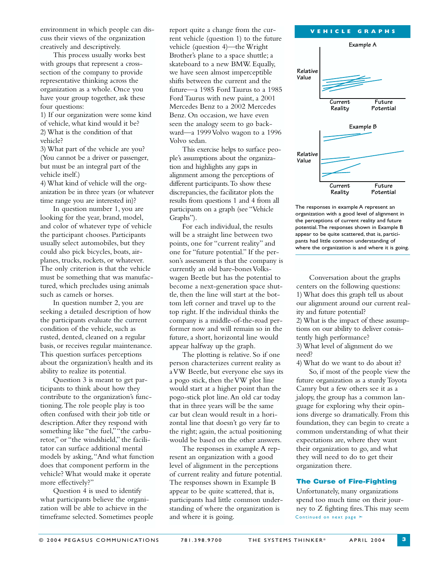environment in which people can discuss their views of the organization creatively and descriptively.

This process usually works best with groups that represent a crosssection of the company to provide representative thinking across the organization as a whole. Once you have your group together, ask these four questions:

1) If our organization were some kind of vehicle, what kind would it be? 2) What is the condition of that vehicle?

3) What part of the vehicle are you? (You cannot be a driver or passenger, but must be an integral part of the vehicle itself.)

4) What kind of vehicle will the organization be in three years (or whatever time range you are interested in)?

In question number 1, you are looking for the year, brand, model, and color of whatever type of vehicle the participant chooses. Participants usually select automobiles, but they could also pick bicycles, boats, airplanes, trucks, rockets, or whatever. The only criterion is that the vehicle must be something that was manufactured, which precludes using animals such as camels or horses.

In question number 2, you are seeking a detailed description of how the participants evaluate the current condition of the vehicle, such as rusted, dented, cleaned on a regular basis, or receives regular maintenance. This question surfaces perceptions about the organization's health and its ability to realize its potential.

Question 3 is meant to get participants to think about how they contribute to the organization's functioning.The role people play is too often confused with their job title or description.After they respond with something like "the fuel,""the carburetor," or "the windshield," the facilitator can surface additional mental models by asking,"And what function does that component perform in the vehicle? What would make it operate more effectively?"

Question 4 is used to identify what participants believe the organization will be able to achieve in the timeframe selected. Sometimes people report quite a change from the current vehicle (question 1) to the future vehicle (question 4)—the Wright Brother's plane to a space shuttle; a skateboard to a new BMW. Equally, we have seen almost imperceptible shifts between the current and the future—a 1985 Ford Taurus to a 1985 Ford Taurus with new paint, a 2001 Mercedes Benz to a 2002 Mercedes Benz. On occasion, we have even seen the analogy seem to go backward—a 1999 Volvo wagon to a 1996 Volvo sedan.

This exercise helps to surface people's assumptions about the organization and highlights any gaps in alignment among the perceptions of different participants.To show these discrepancies, the facilitator plots the results from questions 1 and 4 from all participants on a graph (see "Vehicle Graphs").

For each individual, the results will be a straight line between two points, one for "current reality" and one for "future potential." If the person's assessment is that the company is currently an old bare-bones Volkswagen Beetle but has the potential to become a next-generation space shuttle, then the line will start at the bottom left corner and travel up to the top right. If the individual thinks the company is a middle-of-the-road performer now and will remain so in the future, a short, horizontal line would appear halfway up the graph.

The plotting is relative. So if one person characterizes current reality as a VW Beetle, but everyone else says its a pogo stick, then the VW plot line would start at a higher point than the pogo-stick plot line.An old car today that in three years will be the same car but clean would result in a horizontal line that doesn't go very far to the right; again, the actual positioning would be based on the other answers.

The responses in example A represent an organization with a good level of alignment in the perceptions of current reality and future potential. The responses shown in Example B appear to be quite scattered, that is, participants had little common understanding of where the organization is and where it is going.



The responses in example A represent an organization with a good level of alignment in the perceptions of current reality and future potential.The responses shown in Example B appear to be quite scattered, that is, participants had little common understanding of where the organization is and where it is going.

Conversation about the graphs centers on the following questions: 1) What does this graph tell us about our alignment around our current reality and future potential? 2) What is the impact of these assumptions on our ability to deliver consistently high performance? 3) What level of alignment do we need?

4) What do we want to do about it? So, if most of the people view the future organization as a sturdy Toyota Camry but a few others see it as a jalopy, the group has a common language for exploring why their opinions diverge so dramatically. From this foundation, they can begin to create a common understanding of what their expectations are, where they want their organization to go, and what they will need to do to get their organization there.

# **The Curse of Fire-Fighting**

Unfortunately, many organizations spend too much time on their journey to Z fighting fires.This may seem Continued on next page ≻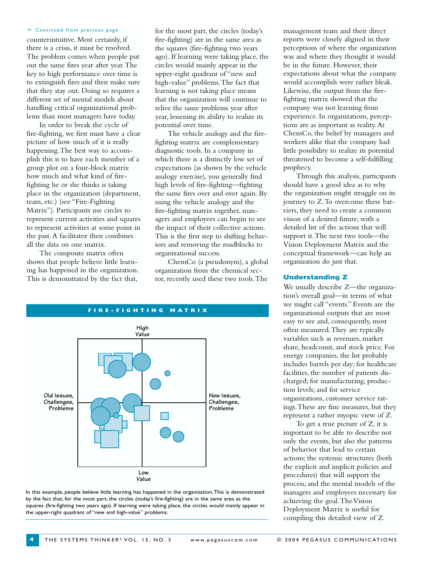#### ➣ Continued from previous page

counterintuitive. Most certainly, if there is a crisis, it must be resolved. The problem comes when people put out the same fires year after year.The key to high performance over time is to extinguish fires and then make sure that they stay out. Doing so requires a different set of mental models about handling critical organizational problems than most managers have today.

In order to break the cycle of fire-fighting, we first must have a clear picture of how much of it is really happening.The best way to accomplish this is to have each member of a group plot on a four-block matrix how much and what kind of firefighting he or she thinks is taking place in the organization (department, team, etc.) (see "Fire-Fighting Matrix"). Participants use circles to represent current activities and squares to represent activities at some point in the past.A facilitator then combines all the data on one matrix.

The composite matrix often shows that people believe little learning has happened in the organization. This is demonstrated by the fact that,

for the most part, the circles (today's fire-fighting) are in the same area as the squares (fire-fighting two years ago). If learning were taking place, the circles would mainly appear in the upper-right quadrant of "new and high-value" problems.The fact that learning is not taking place means that the organization will continue to relive the same problems year after year, lessening its ability to realize its potential over time.

The vehicle analogy and the firefighting matrix are complementary diagnostic tools. In a company in which there is a distinctly low set of expectations (as shown by the vehicle analogy exercise), you generally find high levels of fire-fighting—fighting the same fires over and over again. By using the vehicle analogy and the fire-fighting matrix together, managers and employees can begin to see the impact of their collective actions. This is the first step to shifting behaviors and removing the roadblocks to organizational success.

ChemCo (a pseudonym), a global organization from the chemical sector, recently used these two tools.The



In this example, people believe little learning has happened in the organization.This is demonstrated by the fact that, for the most part, the circles (today's fire-fighting) are in the same area as the squares (fire-fighting two years ago). If learning were taking place, the circles would mainly appear in the upper-right quadrant of "new and high-value" problems.

management team and their direct reports were closely aligned in their perceptions of where the organization was and where they thought it would be in the future. However, their expectations about what the company would accomplish were rather bleak. Likewise, the output from the firefighting matrix showed that the company was not learning from experience. In organizations, perceptions are as important as reality.At ChemCo, the belief by managers and workers alike that the company had little possibility to realize its potential threatened to become a self-fulfilling prophecy.

Through this analysis, participants should have a good idea as to why the organization might struggle on its journey to Z.To overcome these barriers, they need to create a common vision of a desired future, with a detailed list of the actions that will support it.The next two tools—the Vision Deployment Matrix and the conceptual framework—can help an organization do just that.

#### **Understanding Z**

We usually describe Z—the organization's overall goal—in terms of what we might call "events." Events are the organizational outputs that are most easy to see and, consequently, most often measured.They are typically variables such as revenues, market share, headcount, and stock price. For energy companies, the list probably includes barrels per day; for healthcare facilities, the number of patients discharged; for manufacturing, production levels; and for service organizations, customer service ratings.These are fine measures, but they represent a rather myopic view of Z.

To get a true picture of Z, it is important to be able to describe not only the events, but also the patterns of behavior that lead to certain actions; the systemic structures (both the explicit and implicit policies and procedures) that will support the process; and the mental models of the managers and employees necessary for achieving the goal.The Vision Deployment Matrix is useful for compiling this detailed view of Z.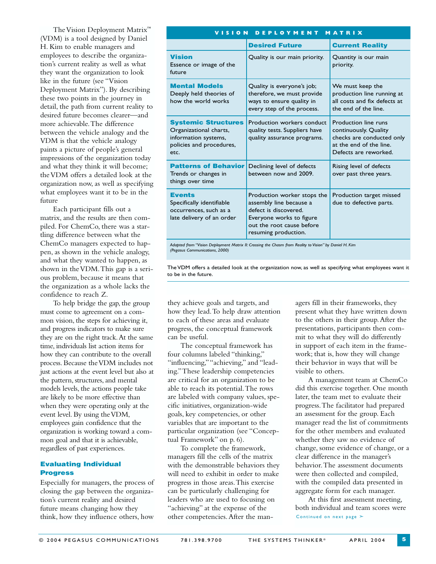The Vision Deployment Matrix™ (VDM) is a tool designed by Daniel H. Kim to enable managers and employees to describe the organization's current reality as well as what they want the organization to look like in the future (see "Vision Deployment Matrix"). By describing these two points in the journey in detail, the path from current reality to desired future becomes clearer—and more achievable.The difference between the vehicle analogy and the VDM is that the vehicle analogy paints a picture of people's general impressions of the organization today and what they think it will become; the VDM offers a detailed look at the organization now, as well as specifying what employees want it to be in the future

Each participant fills out a matrix, and the results are then compiled. For ChemCo, there was a startling difference between what the ChemCo managers expected to happen, as shown in the vehicle analogy, and what they wanted to happen, as shown in the VDM.This gap is a serious problem, because it means that the organization as a whole lacks the confidence to reach Z.

To help bridge the gap, the group must come to agreement on a common vision, the steps for achieving it, and progress indicators to make sure they are on the right track.At the same time, individuals list action items for how they can contribute to the overall process. Because the VDM includes not just actions at the event level but also at the pattern, structures, and mental models levels, the actions people take are likely to be more effective than when they were operating only at the event level. By using the VDM, employees gain confidence that the organization is working toward a common goal and that it is achievable, regardless of past experiences.

# **Evaluating Individual Progress**

Especially for managers, the process of closing the gap between the organization's current reality and desired future means changing how they think, how they influence others, how

| VISION DEPLOYMENT<br><b>MATRIX</b>                                                                               |                                                                                                                                                                  |                                                                                                                                |  |  |  |
|------------------------------------------------------------------------------------------------------------------|------------------------------------------------------------------------------------------------------------------------------------------------------------------|--------------------------------------------------------------------------------------------------------------------------------|--|--|--|
|                                                                                                                  | <b>Desired Future</b>                                                                                                                                            | <b>Current Reality</b>                                                                                                         |  |  |  |
| <b>Vision</b><br>Essence or image of the<br>future                                                               | Quality is our main priority.                                                                                                                                    | Quantity is our main<br>priority.                                                                                              |  |  |  |
| <b>Mental Models</b><br>Deeply held theories of<br>how the world works                                           | Quality is everyone's job;<br>therefore, we must provide<br>ways to ensure quality in<br>every step of the process.                                              | We must keep the<br>production line running at<br>all costs and fix defects at<br>the end of the line.                         |  |  |  |
| <b>Systemic Structures</b><br>Organizational charts,<br>information systems,<br>policies and procedures,<br>etc. | Production workers conduct<br>quality tests. Suppliers have<br>quality assurance programs.                                                                       | Production line runs<br>continuously. Quality<br>checks are conducted only<br>at the end of the line.<br>Defects are reworked. |  |  |  |
| <b>Patterns of Behavior</b><br>Trends or changes in<br>things over time                                          | Declining level of defects<br>between now and 2009.                                                                                                              | Rising level of defects<br>over past three years.                                                                              |  |  |  |
| <b>Events</b><br>Specifically identifiable<br>occurrences, such as a<br>late delivery of an order                | Production worker stops the<br>assembly line because a<br>defect is discovered.<br>Everyone works to figure<br>out the root cause before<br>resuming production. | Production target missed<br>due to defective parts.                                                                            |  |  |  |

*Adapted from "Vision Deployment Matrix II: Crossing the Chasm from Reality to Vision" by Daniel H. Kim (Pegasus Communications, 2000)*

The VDM offers a detailed look at the organization now, as well as specifying what employees want it to be in the future.

they achieve goals and targets, and how they lead.To help draw attention to each of these areas and evaluate progress, the conceptual framework can be useful.

The conceptual framework has four columns labeled "thinking," "influencing,""achieving," and "leading."These leadership competencies are critical for an organization to be able to reach its potential.The rows are labeled with company values, specific initiatives, organization-wide goals, key competencies, or other variables that are important to the particular organization (see "Conceptual Framework" on p. 6).

To complete the framework, managers fill the cells of the matrix with the demonstrable behaviors they will need to exhibit in order to make progress in those areas.This exercise can be particularly challenging for leaders who are used to focusing on "achieving" at the expense of the other competencies.After the managers fill in their frameworks, they present what they have written down to the others in their group.After the presentations, participants then commit to what they will do differently in support of each item in the framework; that is, how they will change their behavior in ways that will be visible to others.

A management team at ChemCo did this exercise together. One month later, the team met to evaluate their progress.The facilitator had prepared an assessment for the group. Each manager read the list of commitments for the other members and evaluated whether they saw no evidence of change, some evidence of change, or a clear difference in the manager's behavior.The assessment documents were then collected and compiled, with the compiled data presented in aggregate form for each manager.

At this first assessment meeting, both individual and team scores were Continued on next page  $\geq$